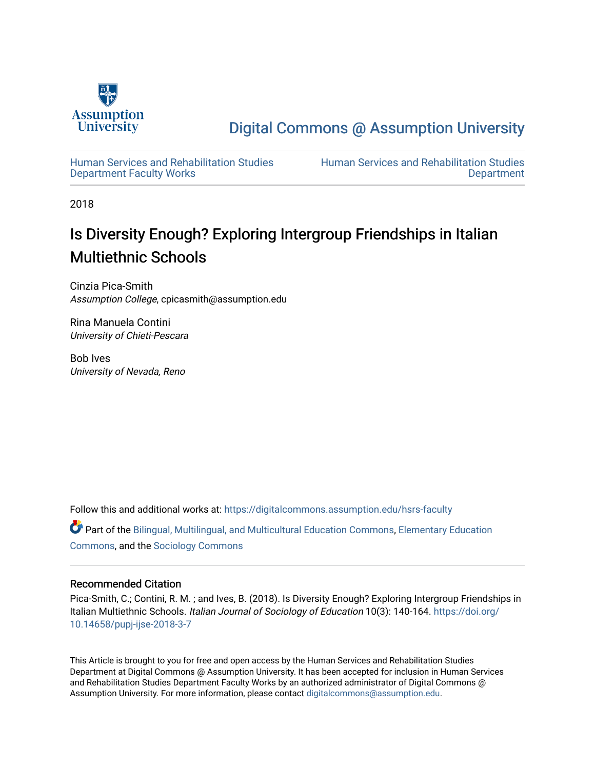

# [Digital Commons @ Assumption University](https://digitalcommons.assumption.edu/)

[Human Services and Rehabilitation Studies](https://digitalcommons.assumption.edu/hsrs-faculty)  [Department Faculty Works](https://digitalcommons.assumption.edu/hsrs-faculty)

[Human Services and Rehabilitation Studies](https://digitalcommons.assumption.edu/hsrs)  [Department](https://digitalcommons.assumption.edu/hsrs) 

2018

# Is Diversity Enough? Exploring Intergroup Friendships in Italian Multiethnic Schools

Cinzia Pica-Smith Assumption College, cpicasmith@assumption.edu

Rina Manuela Contini University of Chieti-Pescara

Bob Ives University of Nevada, Reno

Follow this and additional works at: [https://digitalcommons.assumption.edu/hsrs-faculty](https://digitalcommons.assumption.edu/hsrs-faculty?utm_source=digitalcommons.assumption.edu%2Fhsrs-faculty%2F9&utm_medium=PDF&utm_campaign=PDFCoverPages) 

Part of the [Bilingual, Multilingual, and Multicultural Education Commons,](http://network.bepress.com/hgg/discipline/785?utm_source=digitalcommons.assumption.edu%2Fhsrs-faculty%2F9&utm_medium=PDF&utm_campaign=PDFCoverPages) [Elementary Education](http://network.bepress.com/hgg/discipline/1378?utm_source=digitalcommons.assumption.edu%2Fhsrs-faculty%2F9&utm_medium=PDF&utm_campaign=PDFCoverPages)  [Commons](http://network.bepress.com/hgg/discipline/1378?utm_source=digitalcommons.assumption.edu%2Fhsrs-faculty%2F9&utm_medium=PDF&utm_campaign=PDFCoverPages), and the [Sociology Commons](http://network.bepress.com/hgg/discipline/416?utm_source=digitalcommons.assumption.edu%2Fhsrs-faculty%2F9&utm_medium=PDF&utm_campaign=PDFCoverPages)

# Recommended Citation

Pica-Smith, C.; Contini, R. M. ; and Ives, B. (2018). Is Diversity Enough? Exploring Intergroup Friendships in Italian Multiethnic Schools. Italian Journal of Sociology of Education 10(3): 140-164. [https://doi.org/](https://doi.org/10.14658/pupj-ijse-2018-3-7) [10.14658/pupj-ijse-2018-3-7](https://doi.org/10.14658/pupj-ijse-2018-3-7)

This Article is brought to you for free and open access by the Human Services and Rehabilitation Studies Department at Digital Commons @ Assumption University. It has been accepted for inclusion in Human Services and Rehabilitation Studies Department Faculty Works by an authorized administrator of Digital Commons @ Assumption University. For more information, please contact [digitalcommons@assumption.edu.](mailto:digitalcommons@assumption.edu)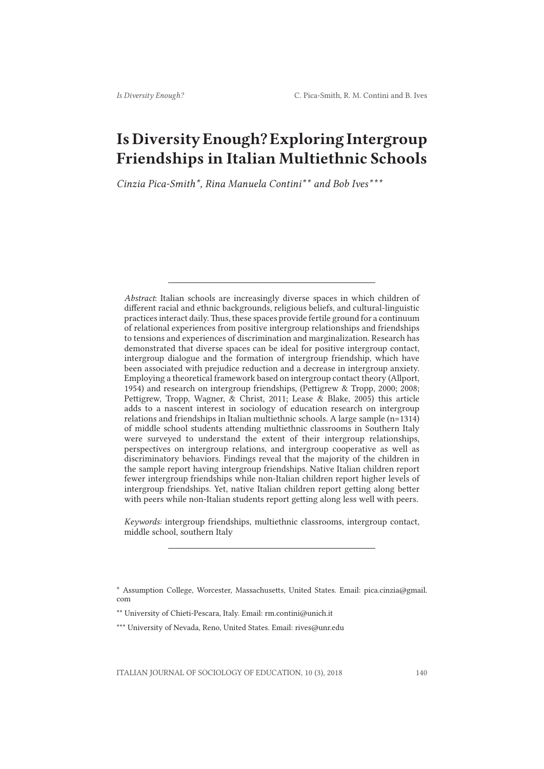# Is Diversity Enough? Exploring Intergroup Friendships in Italian Multiethnic Schools

*Cinzia Pica-Smith\*, Rina Manuela Contini\*\* and Bob Ives\*\*\**

*Abstract*: Italian schools are increasingly diverse spaces in which children of different racial and ethnic backgrounds, religious beliefs, and cultural-linguistic practices interact daily. Thus, these spaces provide fertile ground for a continuum of relational experiences from positive intergroup relationships and friendships to tensions and experiences of discrimination and marginalization. Research has demonstrated that diverse spaces can be ideal for positive intergroup contact, intergroup dialogue and the formation of intergroup friendship, which have been associated with prejudice reduction and a decrease in intergroup anxiety. Employing a theoretical framework based on intergroup contact theory (Allport, 1954) and research on intergroup friendships, (Pettigrew & Tropp, 2000; 2008; Pettigrew, Tropp, Wagner, & Christ, 2011; Lease & Blake, 2005) this article adds to a nascent interest in sociology of education research on intergroup relations and friendships in Italian multiethnic schools. A large sample (n=1314) of middle school students attending multiethnic classrooms in Southern Italy were surveyed to understand the extent of their intergroup relationships, perspectives on intergroup relations, and intergroup cooperative as well as discriminatory behaviors. Findings reveal that the majority of the children in the sample report having intergroup friendships. Native Italian children report fewer intergroup friendships while non-Italian children report higher levels of intergroup friendships. Yet, native Italian children report getting along better with peers while non-Italian students report getting along less well with peers.

*Keywords:* intergroup friendships, multiethnic classrooms, intergroup contact, middle school, southern Italy

<sup>\*</sup> Assumption College, Worcester, Massachusetts, United States. Email: pica.cinzia@gmail. com

<sup>\*\*</sup> University of Chieti-Pescara, Italy. Email: rm.contini@unich.it

<sup>\*\*\*</sup> University of Nevada, Reno, United States. Email: rives@unr.edu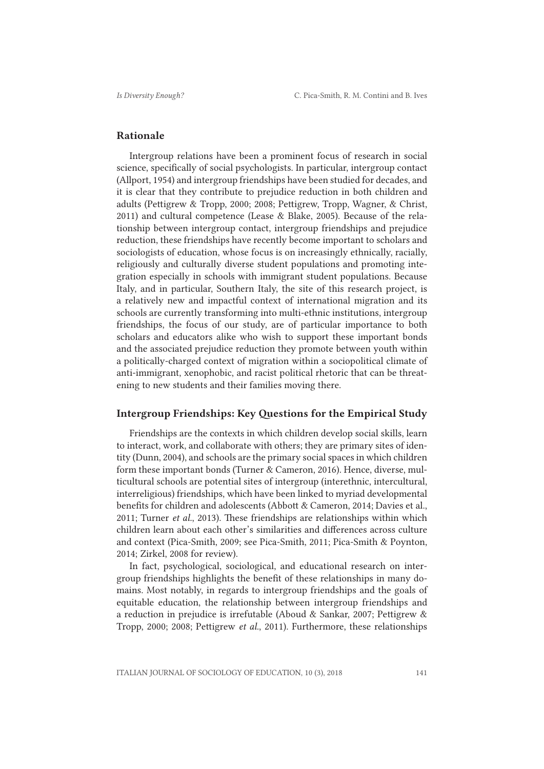### Rationale

Intergroup relations have been a prominent focus of research in social science, specifically of social psychologists. In particular, intergroup contact (Allport, 1954) and intergroup friendships have been studied for decades, and it is clear that they contribute to prejudice reduction in both children and adults (Pettigrew & Tropp, 2000; 2008; Pettigrew, Tropp, Wagner, & Christ, 2011) and cultural competence (Lease & Blake, 2005). Because of the relationship between intergroup contact, intergroup friendships and prejudice reduction, these friendships have recently become important to scholars and sociologists of education, whose focus is on increasingly ethnically, racially, religiously and culturally diverse student populations and promoting integration especially in schools with immigrant student populations. Because Italy, and in particular, Southern Italy, the site of this research project, is a relatively new and impactful context of international migration and its schools are currently transforming into multi-ethnic institutions, intergroup friendships, the focus of our study, are of particular importance to both scholars and educators alike who wish to support these important bonds and the associated prejudice reduction they promote between youth within a politically-charged context of migration within a sociopolitical climate of anti-immigrant, xenophobic, and racist political rhetoric that can be threatening to new students and their families moving there.

# Intergroup Friendships: Key Questions for the Empirical Study

Friendships are the contexts in which children develop social skills, learn to interact, work, and collaborate with others; they are primary sites of identity (Dunn, 2004), and schools are the primary social spaces in which children form these important bonds (Turner & Cameron, 2016). Hence, diverse, multicultural schools are potential sites of intergroup (interethnic, intercultural, interreligious) friendships, which have been linked to myriad developmental benefits for children and adolescents (Abbott & Cameron, 2014; Davies et al., 2011; Turner *et al.*, 2013). These friendships are relationships within which children learn about each other's similarities and differences across culture and context (Pica-Smith, 2009; see Pica-Smith, 2011; Pica-Smith & Poynton, 2014; Zirkel, 2008 for review).

In fact, psychological, sociological, and educational research on intergroup friendships highlights the benefit of these relationships in many domains. Most notably, in regards to intergroup friendships and the goals of equitable education, the relationship between intergroup friendships and a reduction in prejudice is irrefutable (Aboud & Sankar, 2007; Pettigrew & Tropp, 2000; 2008; Pettigrew *et al.*, 2011). Furthermore, these relationships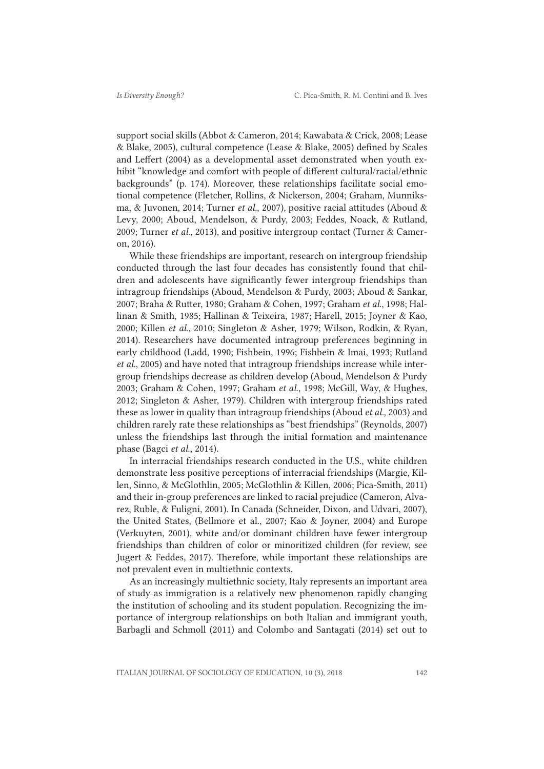support social skills (Abbot & Cameron, 2014; Kawabata & Crick, 2008; Lease & Blake, 2005), cultural competence (Lease & Blake, 2005) defined by Scales and Leffert (2004) as a developmental asset demonstrated when youth exhibit "knowledge and comfort with people of different cultural/racial/ethnic backgrounds" (p. 174). Moreover, these relationships facilitate social emotional competence (Fletcher, Rollins, & Nickerson, 2004; Graham, Munniksma, & Juvonen, 2014; Turner *et al.*, 2007), positive racial attitudes (Aboud & Levy, 2000; Aboud, Mendelson, & Purdy, 2003; Feddes, Noack, & Rutland, 2009; Turner *et al*., 2013), and positive intergroup contact (Turner & Cameron, 2016).

While these friendships are important, research on intergroup friendship conducted through the last four decades has consistently found that children and adolescents have significantly fewer intergroup friendships than intragroup friendships (Aboud, Mendelson & Purdy, 2003; Aboud & Sankar, 2007; Braha & Rutter, 1980; Graham & Cohen, 1997; Graham *et al*., 1998; Hallinan & Smith, 1985; Hallinan & Teixeira, 1987; Harell, 2015; Joyner & Kao, 2000; Killen *et al.,* 2010; Singleton & Asher, 1979; Wilson, Rodkin, & Ryan, 2014). Researchers have documented intragroup preferences beginning in early childhood (Ladd, 1990; Fishbein, 1996; Fishbein & Imai, 1993; Rutland *et al.*, 2005) and have noted that intragroup friendships increase while intergroup friendships decrease as children develop (Aboud, Mendelson & Purdy 2003; Graham & Cohen, 1997; Graham *et al.*, 1998; McGill, Way, & Hughes, 2012; Singleton & Asher, 1979). Children with intergroup friendships rated these as lower in quality than intragroup friendships (Aboud *et al.*, 2003) and children rarely rate these relationships as "best friendships" (Reynolds, 2007) unless the friendships last through the initial formation and maintenance phase (Bagci *et al*., 2014).

In interracial friendships research conducted in the U.S., white children demonstrate less positive perceptions of interracial friendships (Margie, Killen, Sinno, & McGlothlin, 2005; McGlothlin & Killen, 2006; Pica-Smith, 2011) and their in-group preferences are linked to racial prejudice (Cameron, Alvarez, Ruble, & Fuligni, 2001). In Canada (Schneider, Dixon, and Udvari, 2007), the United States, (Bellmore et al., 2007; Kao & Joyner, 2004) and Europe (Verkuyten, 2001), white and/or dominant children have fewer intergroup friendships than children of color or minoritized children (for review, see Jugert & Feddes, 2017). Therefore, while important these relationships are not prevalent even in multiethnic contexts.

As an increasingly multiethnic society, Italy represents an important area of study as immigration is a relatively new phenomenon rapidly changing the institution of schooling and its student population. Recognizing the importance of intergroup relationships on both Italian and immigrant youth, Barbagli and Schmoll (2011) and Colombo and Santagati (2014) set out to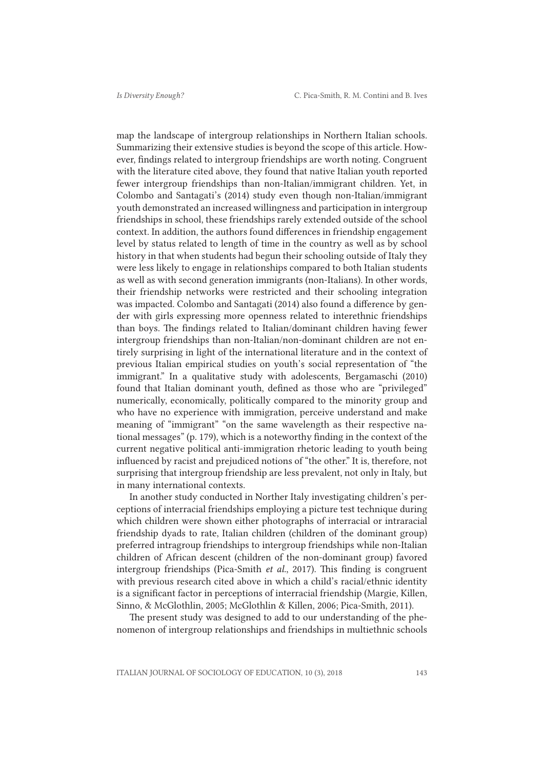map the landscape of intergroup relationships in Northern Italian schools. Summarizing their extensive studies is beyond the scope of this article. However, findings related to intergroup friendships are worth noting. Congruent with the literature cited above, they found that native Italian youth reported fewer intergroup friendships than non-Italian/immigrant children. Yet, in Colombo and Santagati's (2014) study even though non-Italian/immigrant youth demonstrated an increased willingness and participation in intergroup friendships in school, these friendships rarely extended outside of the school context. In addition, the authors found differences in friendship engagement level by status related to length of time in the country as well as by school history in that when students had begun their schooling outside of Italy they were less likely to engage in relationships compared to both Italian students as well as with second generation immigrants (non-Italians). In other words, their friendship networks were restricted and their schooling integration was impacted. Colombo and Santagati (2014) also found a difference by gender with girls expressing more openness related to interethnic friendships than boys. The findings related to Italian/dominant children having fewer intergroup friendships than non-Italian/non-dominant children are not entirely surprising in light of the international literature and in the context of previous Italian empirical studies on youth's social representation of "the immigrant." In a qualitative study with adolescents, Bergamaschi (2010) found that Italian dominant youth, defined as those who are "privileged" numerically, economically, politically compared to the minority group and who have no experience with immigration, perceive understand and make meaning of "immigrant" "on the same wavelength as their respective national messages" (p. 179), which is a noteworthy finding in the context of the current negative political anti-immigration rhetoric leading to youth being influenced by racist and prejudiced notions of "the other." It is, therefore, not surprising that intergroup friendship are less prevalent, not only in Italy, but in many international contexts.

In another study conducted in Norther Italy investigating children's perceptions of interracial friendships employing a picture test technique during which children were shown either photographs of interracial or intraracial friendship dyads to rate, Italian children (children of the dominant group) preferred intragroup friendships to intergroup friendships while non-Italian children of African descent (children of the non-dominant group) favored intergroup friendships (Pica-Smith *et al.*, 2017). This finding is congruent with previous research cited above in which a child's racial/ethnic identity is a significant factor in perceptions of interracial friendship (Margie, Killen, Sinno, & McGlothlin, 2005; McGlothlin & Killen, 2006; Pica-Smith, 2011).

The present study was designed to add to our understanding of the phenomenon of intergroup relationships and friendships in multiethnic schools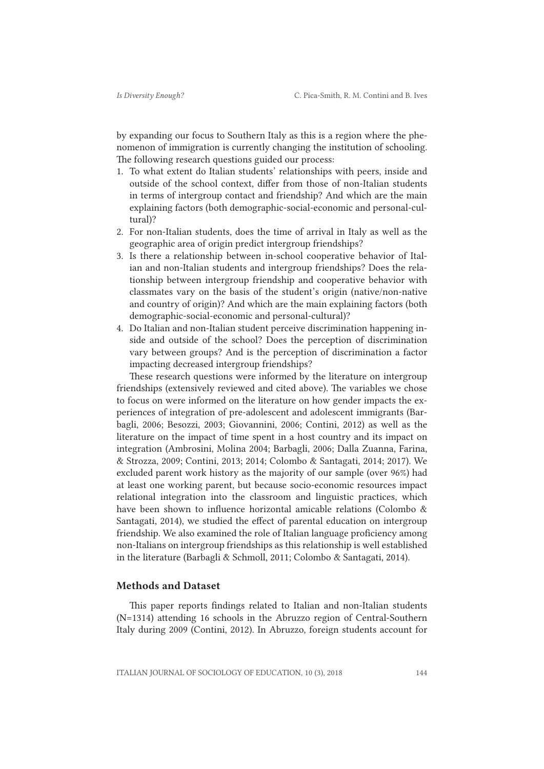by expanding our focus to Southern Italy as this is a region where the phenomenon of immigration is currently changing the institution of schooling. The following research questions guided our process:

- 1. To what extent do Italian students' relationships with peers, inside and outside of the school context, differ from those of non-Italian students in terms of intergroup contact and friendship? And which are the main explaining factors (both demographic-social-economic and personal-cultural)?
- 2. For non-Italian students, does the time of arrival in Italy as well as the geographic area of origin predict intergroup friendships?
- 3. Is there a relationship between in-school cooperative behavior of Italian and non-Italian students and intergroup friendships? Does the relationship between intergroup friendship and cooperative behavior with classmates vary on the basis of the student's origin (native/non-native and country of origin)? And which are the main explaining factors (both demographic-social-economic and personal-cultural)?
- 4. Do Italian and non-Italian student perceive discrimination happening inside and outside of the school? Does the perception of discrimination vary between groups? And is the perception of discrimination a factor impacting decreased intergroup friendships?

These research questions were informed by the literature on intergroup friendships (extensively reviewed and cited above). The variables we chose to focus on were informed on the literature on how gender impacts the experiences of integration of pre-adolescent and adolescent immigrants (Barbagli, 2006; Besozzi, 2003; Giovannini, 2006; Contini, 2012) as well as the literature on the impact of time spent in a host country and its impact on integration (Ambrosini, Molina 2004; Barbagli, 2006; Dalla Zuanna, Farina, & Strozza, 2009; Contini, 2013; 2014; Colombo & Santagati, 2014; 2017). We excluded parent work history as the majority of our sample (over 96%) had at least one working parent, but because socio-economic resources impact relational integration into the classroom and linguistic practices, which have been shown to influence horizontal amicable relations (Colombo & Santagati, 2014), we studied the effect of parental education on intergroup friendship. We also examined the role of Italian language proficiency among non-Italians on intergroup friendships as this relationship is well established in the literature (Barbagli & Schmoll, 2011; Colombo & Santagati, 2014).

## Methods and Dataset

This paper reports findings related to Italian and non-Italian students (N=1314) attending 16 schools in the Abruzzo region of Central-Southern Italy during 2009 (Contini, 2012). In Abruzzo, foreign students account for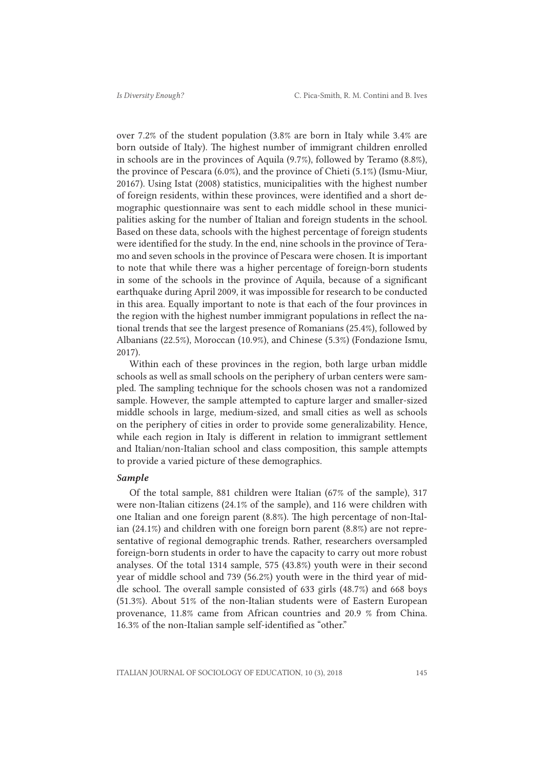over 7.2% of the student population (3.8% are born in Italy while 3.4% are born outside of Italy). The highest number of immigrant children enrolled in schools are in the provinces of Aquila (9.7%), followed by Teramo (8.8%), the province of Pescara (6.0%), and the province of Chieti (5.1%) (Ismu-Miur, 20167). Using Istat (2008) statistics, municipalities with the highest number of foreign residents, within these provinces, were identified and a short demographic questionnaire was sent to each middle school in these municipalities asking for the number of Italian and foreign students in the school. Based on these data, schools with the highest percentage of foreign students were identified for the study. In the end, nine schools in the province of Teramo and seven schools in the province of Pescara were chosen. It is important to note that while there was a higher percentage of foreign-born students in some of the schools in the province of Aquila, because of a significant earthquake during April 2009, it was impossible for research to be conducted in this area. Equally important to note is that each of the four provinces in the region with the highest number immigrant populations in reflect the national trends that see the largest presence of Romanians (25.4%), followed by Albanians (22.5%), Moroccan (10.9%), and Chinese (5.3%) (Fondazione Ismu, 2017).

Within each of these provinces in the region, both large urban middle schools as well as small schools on the periphery of urban centers were sampled. The sampling technique for the schools chosen was not a randomized sample. However, the sample attempted to capture larger and smaller-sized middle schools in large, medium-sized, and small cities as well as schools on the periphery of cities in order to provide some generalizability. Hence, while each region in Italy is different in relation to immigrant settlement and Italian/non-Italian school and class composition, this sample attempts to provide a varied picture of these demographics.

### *Sample*

Of the total sample, 881 children were Italian (67% of the sample), 317 were non-Italian citizens (24.1% of the sample), and 116 were children with one Italian and one foreign parent (8.8%). The high percentage of non-Italian (24.1%) and children with one foreign born parent (8.8%) are not representative of regional demographic trends. Rather, researchers oversampled foreign-born students in order to have the capacity to carry out more robust analyses. Of the total 1314 sample, 575 (43.8%) youth were in their second year of middle school and 739 (56.2%) youth were in the third year of middle school. The overall sample consisted of 633 girls (48.7%) and 668 boys (51.3%). About 51% of the non-Italian students were of Eastern European provenance, 11.8% came from African countries and 20.9 % from China. 16.3% of the non-Italian sample self-identified as "other."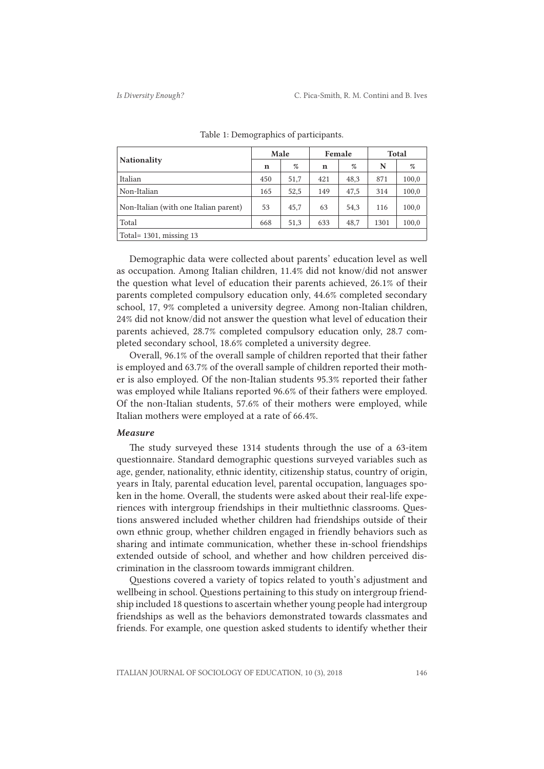|                                       | Male        |      | Female |      | <b>Total</b> |       |
|---------------------------------------|-------------|------|--------|------|--------------|-------|
| <b>Nationality</b>                    | $\mathbf n$ | %    | n      | %    | N            | %     |
| Italian                               | 450         | 51,7 | 421    | 48,3 | 871          | 100,0 |
| Non-Italian                           | 165         | 52,5 | 149    | 47,5 | 314          | 100,0 |
| Non-Italian (with one Italian parent) | 53          | 45,7 | 63     | 54,3 | 116          | 100,0 |
| Total                                 | 668         | 51,3 | 633    | 48,7 | 1301         | 100,0 |
| Total = $1301$ , missing 13           |             |      |        |      |              |       |

Table 1: Demographics of participants.

Demographic data were collected about parents' education level as well as occupation. Among Italian children, 11.4% did not know/did not answer the question what level of education their parents achieved, 26.1% of their parents completed compulsory education only, 44.6% completed secondary school, 17, 9% completed a university degree. Among non-Italian children, 24% did not know/did not answer the question what level of education their parents achieved, 28.7% completed compulsory education only, 28.7 completed secondary school, 18.6% completed a university degree.

Overall, 96.1% of the overall sample of children reported that their father is employed and 63.7% of the overall sample of children reported their mother is also employed. Of the non-Italian students 95.3% reported their father was employed while Italians reported 96.6% of their fathers were employed. Of the non-Italian students, 57.6% of their mothers were employed, while Italian mothers were employed at a rate of 66.4%.

#### *Measure*

The study surveyed these 1314 students through the use of a 63-item questionnaire. Standard demographic questions surveyed variables such as age, gender, nationality, ethnic identity, citizenship status, country of origin, years in Italy, parental education level, parental occupation, languages spoken in the home. Overall, the students were asked about their real-life experiences with intergroup friendships in their multiethnic classrooms. Questions answered included whether children had friendships outside of their own ethnic group, whether children engaged in friendly behaviors such as sharing and intimate communication, whether these in-school friendships extended outside of school, and whether and how children perceived discrimination in the classroom towards immigrant children.

Questions covered a variety of topics related to youth's adjustment and wellbeing in school. Questions pertaining to this study on intergroup friendship included 18 questions to ascertain whether young people had intergroup friendships as well as the behaviors demonstrated towards classmates and friends. For example, one question asked students to identify whether their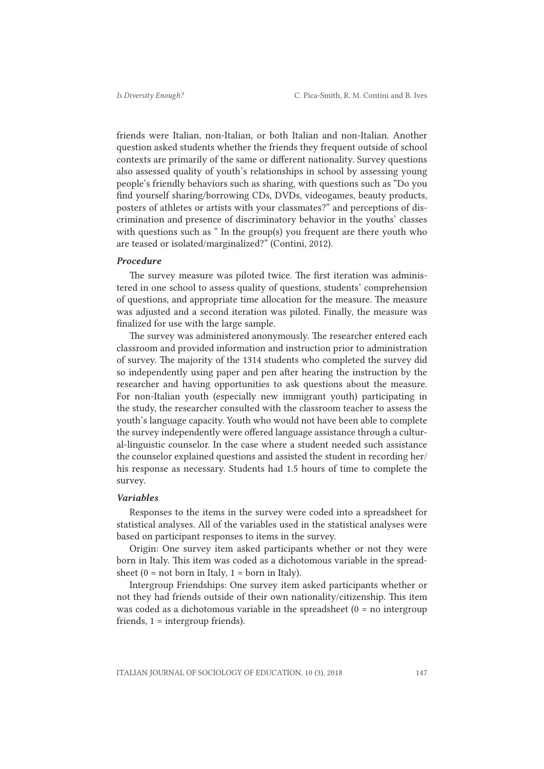friends were Italian, non-Italian, or both Italian and non-Italian. Another question asked students whether the friends they frequent outside of school contexts are primarily of the same or different nationality. Survey questions also assessed quality of youth's relationships in school by assessing young people's friendly behaviors such as sharing, with questions such as "Do you find yourself sharing/borrowing CDs, DVDs, videogames, beauty products, posters of athletes or artists with your classmates?" and perceptions of discrimination and presence of discriminatory behavior in the youths' classes with questions such as " In the group(s) you frequent are there youth who are teased or isolated/marginalized?" (Contini, 2012).

#### *Procedure*

The survey measure was piloted twice. The first iteration was administered in one school to assess quality of questions, students' comprehension of questions, and appropriate time allocation for the measure. The measure was adjusted and a second iteration was piloted. Finally, the measure was finalized for use with the large sample.

The survey was administered anonymously. The researcher entered each classroom and provided information and instruction prior to administration of survey. The majority of the 1314 students who completed the survey did so independently using paper and pen after hearing the instruction by the researcher and having opportunities to ask questions about the measure. For non-Italian youth (especially new immigrant youth) participating in the study, the researcher consulted with the classroom teacher to assess the youth's language capacity. Youth who would not have been able to complete the survey independently were offered language assistance through a cultural-linguistic counselor. In the case where a student needed such assistance the counselor explained questions and assisted the student in recording her/ his response as necessary. Students had 1.5 hours of time to complete the survey.

### *Variables*

Responses to the items in the survey were coded into a spreadsheet for statistical analyses. All of the variables used in the statistical analyses were based on participant responses to items in the survey.

Origin: One survey item asked participants whether or not they were born in Italy. This item was coded as a dichotomous variable in the spreadsheet  $(0 = not born in Italy, 1 = born in Italy).$ 

Intergroup Friendships: One survey item asked participants whether or not they had friends outside of their own nationality/citizenship. This item was coded as a dichotomous variable in the spreadsheet (0 = no intergroup friends, 1 = intergroup friends).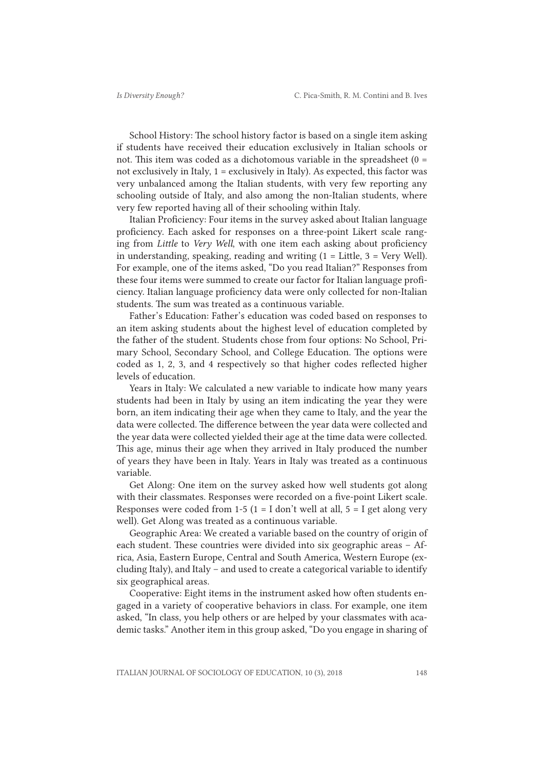School History: The school history factor is based on a single item asking if students have received their education exclusively in Italian schools or not. This item was coded as a dichotomous variable in the spreadsheet  $(0 =$ not exclusively in Italy, 1 = exclusively in Italy). As expected, this factor was very unbalanced among the Italian students, with very few reporting any schooling outside of Italy, and also among the non-Italian students, where very few reported having all of their schooling within Italy.

Italian Proficiency: Four items in the survey asked about Italian language proficiency. Each asked for responses on a three-point Likert scale ranging from *Little* to *Very Well*, with one item each asking about proficiency in understanding, speaking, reading and writing  $(1 =$  Little,  $3 =$  Very Well). For example, one of the items asked, "Do you read Italian?" Responses from these four items were summed to create our factor for Italian language proficiency. Italian language proficiency data were only collected for non-Italian students. The sum was treated as a continuous variable.

Father's Education: Father's education was coded based on responses to an item asking students about the highest level of education completed by the father of the student. Students chose from four options: No School, Primary School, Secondary School, and College Education. The options were coded as 1, 2, 3, and 4 respectively so that higher codes reflected higher levels of education.

Years in Italy: We calculated a new variable to indicate how many years students had been in Italy by using an item indicating the year they were born, an item indicating their age when they came to Italy, and the year the data were collected. The difference between the year data were collected and the year data were collected yielded their age at the time data were collected. This age, minus their age when they arrived in Italy produced the number of years they have been in Italy. Years in Italy was treated as a continuous variable.

Get Along: One item on the survey asked how well students got along with their classmates. Responses were recorded on a five-point Likert scale. Responses were coded from 1-5 (1 = I don't well at all,  $5 = I$  get along very well). Get Along was treated as a continuous variable.

Geographic Area: We created a variable based on the country of origin of each student. These countries were divided into six geographic areas – Africa, Asia, Eastern Europe, Central and South America, Western Europe (excluding Italy), and Italy – and used to create a categorical variable to identify six geographical areas.

Cooperative: Eight items in the instrument asked how often students engaged in a variety of cooperative behaviors in class. For example, one item asked, "In class, you help others or are helped by your classmates with academic tasks." Another item in this group asked, "Do you engage in sharing of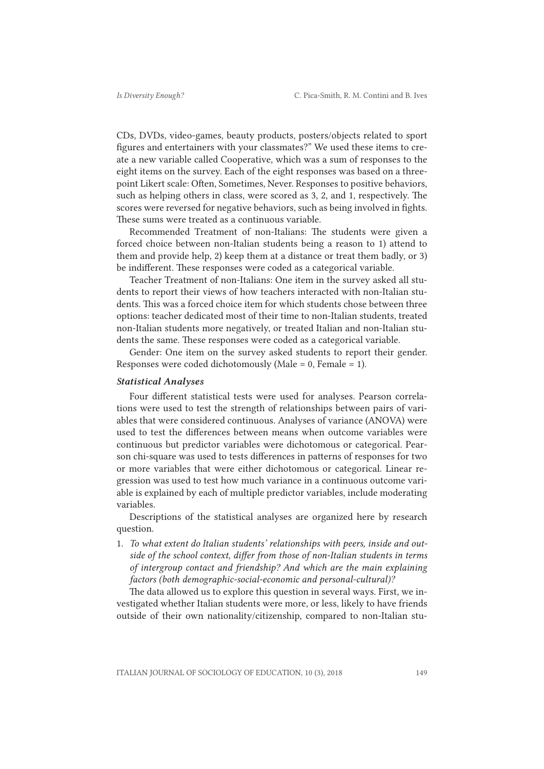CDs, DVDs, video-games, beauty products, posters/objects related to sport figures and entertainers with your classmates?" We used these items to create a new variable called Cooperative, which was a sum of responses to the eight items on the survey. Each of the eight responses was based on a threepoint Likert scale: Often, Sometimes, Never. Responses to positive behaviors, such as helping others in class, were scored as 3, 2, and 1, respectively. The scores were reversed for negative behaviors, such as being involved in fights. These sums were treated as a continuous variable.

Recommended Treatment of non-Italians: The students were given a forced choice between non-Italian students being a reason to 1) attend to them and provide help, 2) keep them at a distance or treat them badly, or 3) be indifferent. These responses were coded as a categorical variable.

Teacher Treatment of non-Italians: One item in the survey asked all students to report their views of how teachers interacted with non-Italian students. This was a forced choice item for which students chose between three options: teacher dedicated most of their time to non-Italian students, treated non-Italian students more negatively, or treated Italian and non-Italian students the same. These responses were coded as a categorical variable.

Gender: One item on the survey asked students to report their gender. Responses were coded dichotomously (Male = 0, Female = 1).

#### *Statistical Analyses*

Four different statistical tests were used for analyses. Pearson correlations were used to test the strength of relationships between pairs of variables that were considered continuous. Analyses of variance (ANOVA) were used to test the differences between means when outcome variables were continuous but predictor variables were dichotomous or categorical. Pearson chi-square was used to tests differences in patterns of responses for two or more variables that were either dichotomous or categorical. Linear regression was used to test how much variance in a continuous outcome variable is explained by each of multiple predictor variables, include moderating variables.

Descriptions of the statistical analyses are organized here by research question.

1. *To what extent do Italian students' relationships with peers, inside and outside of the school context, differ from those of non-Italian students in terms of intergroup contact and friendship? And which are the main explaining factors (both demographic-social-economic and personal-cultural)?*

The data allowed us to explore this question in several ways. First, we investigated whether Italian students were more, or less, likely to have friends outside of their own nationality/citizenship, compared to non-Italian stu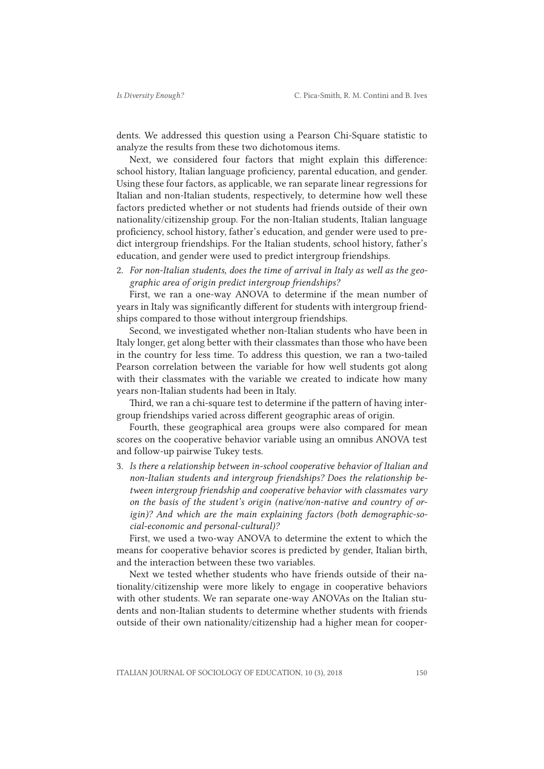dents. We addressed this question using a Pearson Chi-Square statistic to analyze the results from these two dichotomous items.

Next, we considered four factors that might explain this difference: school history, Italian language proficiency, parental education, and gender. Using these four factors, as applicable, we ran separate linear regressions for Italian and non-Italian students, respectively, to determine how well these factors predicted whether or not students had friends outside of their own nationality/citizenship group. For the non-Italian students, Italian language proficiency, school history, father's education, and gender were used to predict intergroup friendships. For the Italian students, school history, father's education, and gender were used to predict intergroup friendships.

2. *For non-Italian students, does the time of arrival in Italy as well as the geographic area of origin predict intergroup friendships?*

First, we ran a one-way ANOVA to determine if the mean number of years in Italy was significantly different for students with intergroup friendships compared to those without intergroup friendships.

Second, we investigated whether non-Italian students who have been in Italy longer, get along better with their classmates than those who have been in the country for less time. To address this question, we ran a two-tailed Pearson correlation between the variable for how well students got along with their classmates with the variable we created to indicate how many years non-Italian students had been in Italy.

Third, we ran a chi-square test to determine if the pattern of having intergroup friendships varied across different geographic areas of origin.

Fourth, these geographical area groups were also compared for mean scores on the cooperative behavior variable using an omnibus ANOVA test and follow-up pairwise Tukey tests.

3. *Is there a relationship between in-school cooperative behavior of Italian and non-Italian students and intergroup friendships? Does the relationship between intergroup friendship and cooperative behavior with classmates vary on the basis of the student's origin (native/non-native and country of origin)? And which are the main explaining factors (both demographic-social-economic and personal-cultural)?*

First, we used a two-way ANOVA to determine the extent to which the means for cooperative behavior scores is predicted by gender, Italian birth, and the interaction between these two variables.

Next we tested whether students who have friends outside of their nationality/citizenship were more likely to engage in cooperative behaviors with other students. We ran separate one-way ANOVAs on the Italian students and non-Italian students to determine whether students with friends outside of their own nationality/citizenship had a higher mean for cooper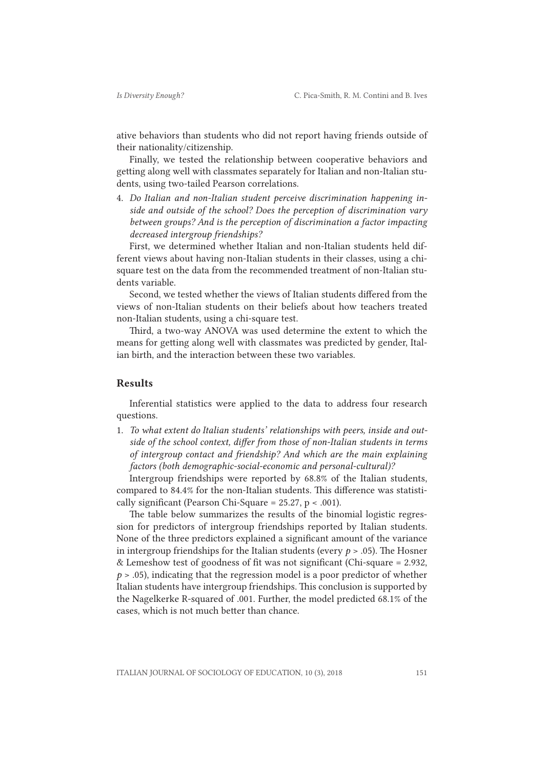ative behaviors than students who did not report having friends outside of their nationality/citizenship.

Finally, we tested the relationship between cooperative behaviors and getting along well with classmates separately for Italian and non-Italian students, using two-tailed Pearson correlations.

4. *Do Italian and non-Italian student perceive discrimination happening inside and outside of the school? Does the perception of discrimination vary between groups? And is the perception of discrimination a factor impacting decreased intergroup friendships?*

First, we determined whether Italian and non-Italian students held different views about having non-Italian students in their classes, using a chisquare test on the data from the recommended treatment of non-Italian students variable.

Second, we tested whether the views of Italian students differed from the views of non-Italian students on their beliefs about how teachers treated non-Italian students, using a chi-square test.

Third, a two-way ANOVA was used determine the extent to which the means for getting along well with classmates was predicted by gender, Italian birth, and the interaction between these two variables.

## Results

Inferential statistics were applied to the data to address four research questions.

1. *To what extent do Italian students' relationships with peers, inside and outside of the school context, differ from those of non-Italian students in terms of intergroup contact and friendship? And which are the main explaining factors (both demographic-social-economic and personal-cultural)?*

Intergroup friendships were reported by 68.8% of the Italian students, compared to 84.4% for the non-Italian students. This difference was statistically significant (Pearson Chi-Square =  $25.27$ , p < .001).

The table below summarizes the results of the binomial logistic regression for predictors of intergroup friendships reported by Italian students. None of the three predictors explained a significant amount of the variance in intergroup friendships for the Italian students (every *p* > .05). The Hosner & Lemeshow test of goodness of fit was not significant (Chi-square = 2.932, *p* > .05), indicating that the regression model is a poor predictor of whether Italian students have intergroup friendships. This conclusion is supported by the Nagelkerke R-squared of .001. Further, the model predicted 68.1% of the cases, which is not much better than chance.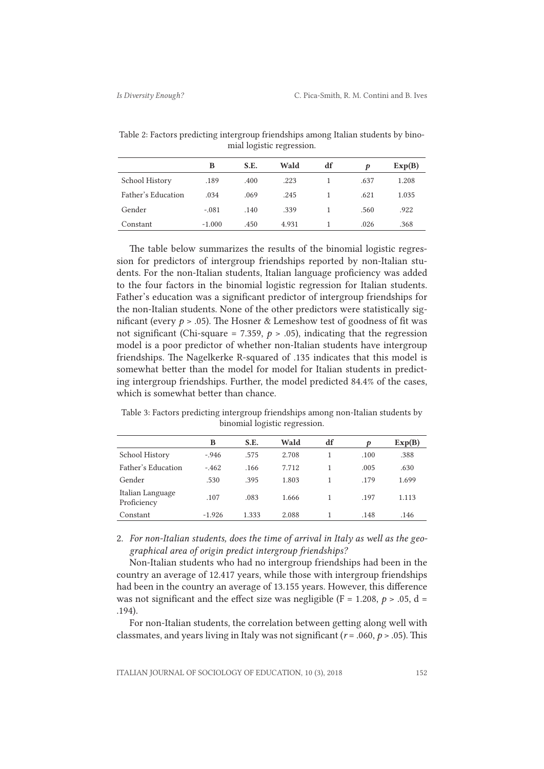Table 2: Factors predicting intergroup friendships among Italian students by binomial logistic regression.

|                    | в        | S.E. | Wald  | df | Þ    | Exp(B) |
|--------------------|----------|------|-------|----|------|--------|
| School History     | .189     | .400 | .223  |    | .637 | 1.208  |
| Father's Education | .034     | .069 | .245  |    | .621 | 1.035  |
| Gender             | $-.081$  | .140 | .339  |    | .560 | .922   |
| Constant           | $-1.000$ | .450 | 4.931 |    | .026 | .368   |

The table below summarizes the results of the binomial logistic regression for predictors of intergroup friendships reported by non-Italian students. For the non-Italian students, Italian language proficiency was added to the four factors in the binomial logistic regression for Italian students. Father's education was a significant predictor of intergroup friendships for the non-Italian students. None of the other predictors were statistically significant (every  $p > .05$ ). The Hosner & Lemeshow test of goodness of fit was not significant (Chi-square = 7.359,  $p > .05$ ), indicating that the regression model is a poor predictor of whether non-Italian students have intergroup friendships. The Nagelkerke R-squared of .135 indicates that this model is somewhat better than the model for model for Italian students in predicting intergroup friendships. Further, the model predicted 84.4% of the cases, which is somewhat better than chance.

Table 3: Factors predicting intergroup friendships among non-Italian students by binomial logistic regression.

|                                 | B        | S.E.  | Wald  | df | Þ    | Exp(B) |
|---------------------------------|----------|-------|-------|----|------|--------|
| School History                  | $-.946$  | .575  | 2.708 |    | .100 | .388   |
| Father's Education              | $-462$   | .166  | 7.712 |    | .005 | .630   |
| Gender                          | .530     | .395  | 1.803 |    | .179 | 1.699  |
| Italian Language<br>Proficiency | .107     | .083  | 1.666 |    | .197 | 1.113  |
| Constant                        | $-1.926$ | 1.333 | 2.088 |    | .148 | .146   |

2. *For non-Italian students, does the time of arrival in Italy as well as the geographical area of origin predict intergroup friendships?*

Non-Italian students who had no intergroup friendships had been in the country an average of 12.417 years, while those with intergroup friendships had been in the country an average of 13.155 years. However, this difference was not significant and the effect size was negligible ( $F = 1.208$ ,  $p > .05$ ,  $d =$ .194).

For non-Italian students, the correlation between getting along well with classmates, and years living in Italy was not significant  $(r = .060, p > .05)$ . This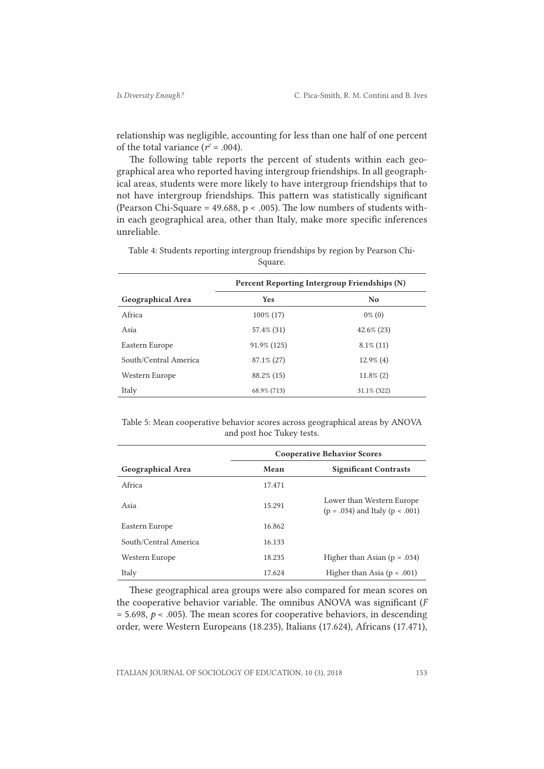relationship was negligible, accounting for less than one half of one percent of the total variance  $(r^2 = .004)$ .

The following table reports the percent of students within each geographical area who reported having intergroup friendships. In all geographical areas, students were more likely to have intergroup friendships that to not have intergroup friendships. This pattern was statistically significant (Pearson Chi-Square =  $49.688$ , p < .005). The low numbers of students within each geographical area, other than Italy, make more specific inferences unreliable.

|                          | Percent Reporting Intergroup Friendships (N) |                |  |  |
|--------------------------|----------------------------------------------|----------------|--|--|
| <b>Geographical Area</b> | <b>Yes</b>                                   | N <sub>0</sub> |  |  |
| Africa                   | $100\% (17)$                                 | $0\%$ (0)      |  |  |
| Asia                     | 57.4% (31)                                   | $42.6\%$ (23)  |  |  |
| Eastern Europe           | 91.9% (125)                                  | $8.1\%$ (11)   |  |  |
| South/Central America    | $87.1\% (27)$                                | $12.9\%$ (4)   |  |  |
| Western Europe           | $88.2\%$ (15)                                | $11.8\%$ (2)   |  |  |
| Italy                    | 68.9% (713)                                  | 31.1% (322)    |  |  |

Table 4: Students reporting intergroup friendships by region by Pearson Chi-Square.

Table 5: Mean cooperative behavior scores across geographical areas by ANOVA and post hoc Tukey tests.

|                          | <b>Cooperative Behavior Scores</b> |                                                                  |  |  |
|--------------------------|------------------------------------|------------------------------------------------------------------|--|--|
| <b>Geographical Area</b> | Mean                               | <b>Significant Contrasts</b>                                     |  |  |
| Africa                   | 17.471                             |                                                                  |  |  |
| Asia                     | 15.291                             | Lower than Western Europe<br>$(p = .034)$ and Italy $(p < .001)$ |  |  |
| Eastern Europe           | 16.862                             |                                                                  |  |  |
| South/Central America    | 16.133                             |                                                                  |  |  |
| Western Europe           | 18.235                             | Higher than Asian ( $p = .034$ )                                 |  |  |
| Italy                    | 17.624                             | Higher than Asia $(p < .001)$                                    |  |  |

These geographical area groups were also compared for mean scores on the cooperative behavior variable. The omnibus ANOVA was significant (*F*  $= 5.698$ ,  $p < .005$ ). The mean scores for cooperative behaviors, in descending order, were Western Europeans (18.235), Italians (17.624), Africans (17.471),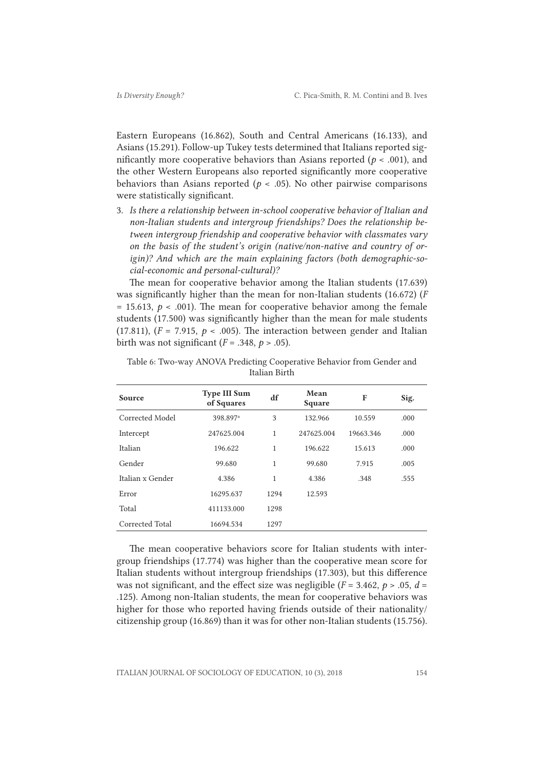Eastern Europeans (16.862), South and Central Americans (16.133), and Asians (15.291). Follow-up Tukey tests determined that Italians reported significantly more cooperative behaviors than Asians reported ( $p < .001$ ), and the other Western Europeans also reported significantly more cooperative behaviors than Asians reported ( $p < .05$ ). No other pairwise comparisons were statistically significant.

3. *Is there a relationship between in-school cooperative behavior of Italian and non-Italian students and intergroup friendships? Does the relationship between intergroup friendship and cooperative behavior with classmates vary on the basis of the student's origin (native/non-native and country of origin)? And which are the main explaining factors (both demographic-social-economic and personal-cultural)?*

The mean for cooperative behavior among the Italian students (17.639) was significantly higher than the mean for non-Italian students (16.672) (*F*  $= 15.613$ ,  $p < .001$ ). The mean for cooperative behavior among the female students (17.500) was significantly higher than the mean for male students (17.811),  $(F = 7.915, p < .005)$ . The interaction between gender and Italian birth was not significant  $(F = .348, p > .05)$ .

| <b>Source</b>    | <b>Type III Sum</b><br>of Squares | df           | Mean<br>Square | F         | Sig. |
|------------------|-----------------------------------|--------------|----------------|-----------|------|
| Corrected Model  | 398.897 <sup>a</sup>              | 3            | 132.966        | 10.559    | .000 |
| Intercept        | 247625.004                        | $\mathbf{1}$ | 247625.004     | 19663.346 | .000 |
| Italian          | 196.622                           | $\mathbf{1}$ | 196.622        | 15.613    | .000 |
| Gender           | 99.680                            | 1            | 99.680         | 7.915     | .005 |
| Italian x Gender | 4.386                             | 1            | 4.386          | .348      | .555 |
| Error            | 16295.637                         | 1294         | 12.593         |           |      |
| Total            | 411133.000                        | 1298         |                |           |      |
| Corrected Total  | 16694.534                         | 1297         |                |           |      |

Table 6: Two-way ANOVA Predicting Cooperative Behavior from Gender and Italian Birth

The mean cooperative behaviors score for Italian students with intergroup friendships (17.774) was higher than the cooperative mean score for Italian students without intergroup friendships (17.303), but this difference was not significant, and the effect size was negligible  $(F = 3.462, p > .05, d =$ .125). Among non-Italian students, the mean for cooperative behaviors was higher for those who reported having friends outside of their nationality/ citizenship group (16.869) than it was for other non-Italian students (15.756).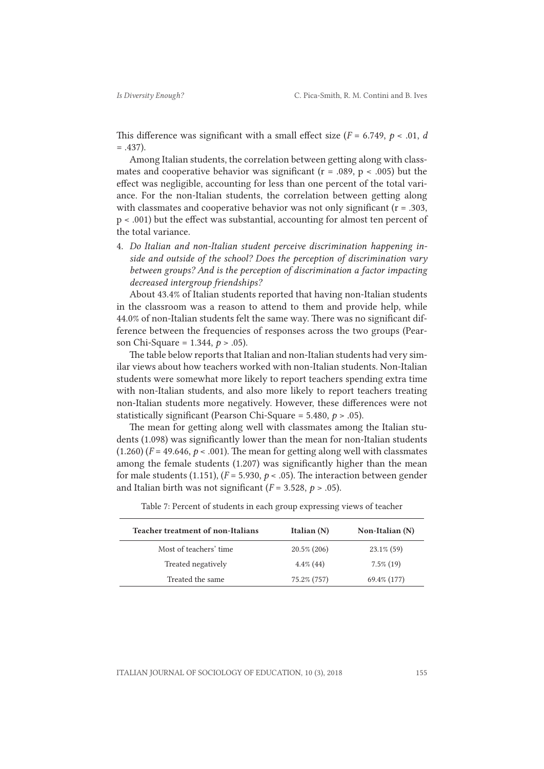This difference was significant with a small effect size  $(F = 6.749, p < .01, d$  $= .437$ ).

Among Italian students, the correlation between getting along with classmates and cooperative behavior was significant ( $r = .089$ ,  $p < .005$ ) but the effect was negligible, accounting for less than one percent of the total variance. For the non-Italian students, the correlation between getting along with classmates and cooperative behavior was not only significant (r = .303, p < .001) but the effect was substantial, accounting for almost ten percent of the total variance.

4. *Do Italian and non-Italian student perceive discrimination happening inside and outside of the school? Does the perception of discrimination vary between groups? And is the perception of discrimination a factor impacting decreased intergroup friendships?*

About 43.4% of Italian students reported that having non-Italian students in the classroom was a reason to attend to them and provide help, while 44.0% of non-Italian students felt the same way. There was no significant difference between the frequencies of responses across the two groups (Pearson Chi-Square = 1.344, *p* > .05).

The table below reports that Italian and non-Italian students had very similar views about how teachers worked with non-Italian students. Non-Italian students were somewhat more likely to report teachers spending extra time with non-Italian students, and also more likely to report teachers treating non-Italian students more negatively. However, these differences were not statistically significant (Pearson Chi-Square = 5.480, *p* > .05).

The mean for getting along well with classmates among the Italian students (1.098) was significantly lower than the mean for non-Italian students  $(1.260)$  ( $F = 49.646$ ,  $p < .001$ ). The mean for getting along well with classmates among the female students (1.207) was significantly higher than the mean for male students (1.151),  $(F = 5.930, p < .05)$ . The interaction between gender and Italian birth was not significant  $(F = 3.528, p > .05)$ .

| Teacher treatment of non-Italians | Italian $(N)$  | Non-Italian (N) |  |
|-----------------------------------|----------------|-----------------|--|
| Most of teachers' time            | $20.5\%$ (206) | $23.1\%$ (59)   |  |
| Treated negatively                | $4.4\%$ (44)   | $7.5\%$ (19)    |  |
| Treated the same                  | 75.2% (757)    | 69.4\% (177)    |  |
|                                   |                |                 |  |

Table 7: Percent of students in each group expressing views of teacher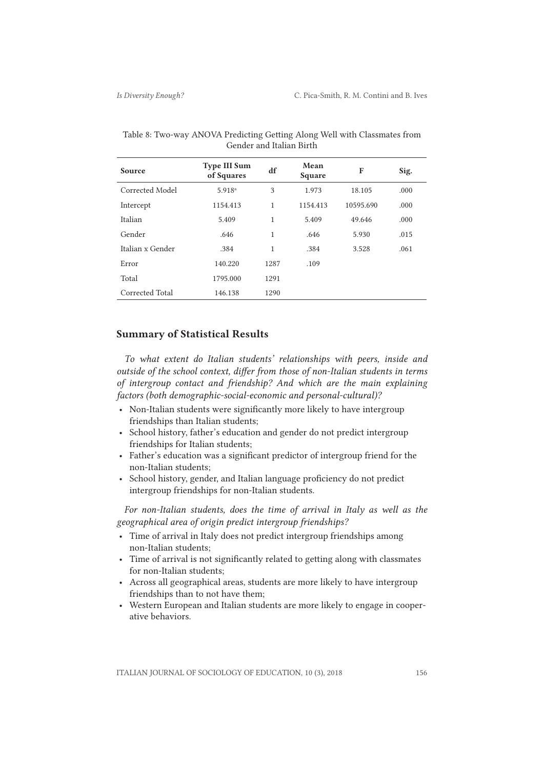| Source           | <b>Type III Sum</b><br>of Squares | df   | Mean<br>Square | F         | Sig. |
|------------------|-----------------------------------|------|----------------|-----------|------|
| Corrected Model  | 5.918 <sup>a</sup>                | 3    | 1.973          | 18.105    | .000 |
| Intercept        | 1154.413                          | 1    | 1154.413       | 10595.690 | .000 |
| Italian          | 5.409                             | 1    | 5.409          | 49.646    | .000 |
| Gender           | .646                              | 1    | .646           | 5.930     | .015 |
| Italian x Gender | .384                              | 1    | .384           | 3.528     | .061 |
| Error            | 140.220                           | 1287 | .109           |           |      |
| Total            | 1795.000                          | 1291 |                |           |      |
| Corrected Total  | 146.138                           | 1290 |                |           |      |

Table 8: Two-way ANOVA Predicting Getting Along Well with Classmates from Gender and Italian Birth

# Summary of Statistical Results

*To what extent do Italian students' relationships with peers, inside and outside of the school context, differ from those of non-Italian students in terms of intergroup contact and friendship? And which are the main explaining factors (both demographic-social-economic and personal-cultural)?*

- Non-Italian students were significantly more likely to have intergroup friendships than Italian students;
- School history, father's education and gender do not predict intergroup friendships for Italian students;
- Father's education was a significant predictor of intergroup friend for the non-Italian students;
- School history, gender, and Italian language proficiency do not predict intergroup friendships for non-Italian students.

*For non-Italian students, does the time of arrival in Italy as well as the geographical area of origin predict intergroup friendships?*

- Time of arrival in Italy does not predict intergroup friendships among non-Italian students;
- Time of arrival is not significantly related to getting along with classmates for non-Italian students;
- Across all geographical areas, students are more likely to have intergroup friendships than to not have them;
- Western European and Italian students are more likely to engage in cooperative behaviors.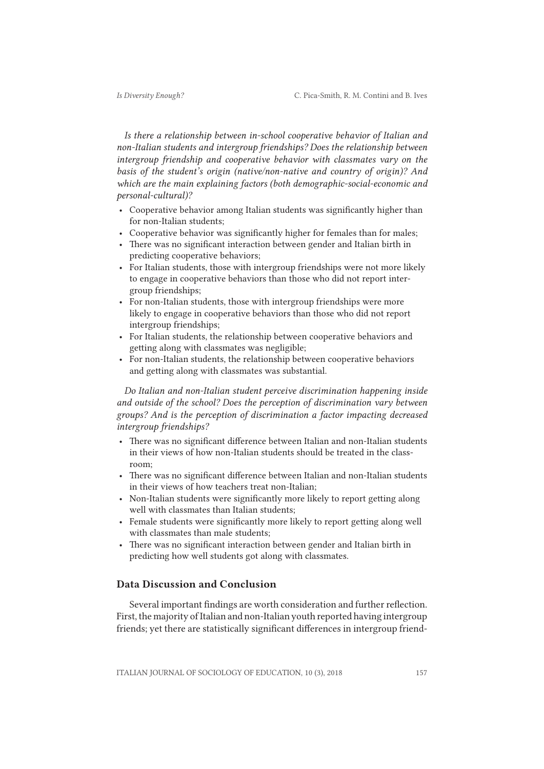*Is there a relationship between in-school cooperative behavior of Italian and non-Italian students and intergroup friendships? Does the relationship between intergroup friendship and cooperative behavior with classmates vary on the basis of the student's origin (native/non-native and country of origin)? And which are the main explaining factors (both demographic-social-economic and personal-cultural)?*

- Cooperative behavior among Italian students was significantly higher than for non-Italian students;
- Cooperative behavior was significantly higher for females than for males;
- There was no significant interaction between gender and Italian birth in predicting cooperative behaviors;
- For Italian students, those with intergroup friendships were not more likely to engage in cooperative behaviors than those who did not report intergroup friendships;
- For non-Italian students, those with intergroup friendships were more likely to engage in cooperative behaviors than those who did not report intergroup friendships;
- For Italian students, the relationship between cooperative behaviors and getting along with classmates was negligible;
- For non-Italian students, the relationship between cooperative behaviors and getting along with classmates was substantial.

*Do Italian and non-Italian student perceive discrimination happening inside and outside of the school? Does the perception of discrimination vary between groups? And is the perception of discrimination a factor impacting decreased intergroup friendships?*

- There was no significant difference between Italian and non-Italian students in their views of how non-Italian students should be treated in the classroom;
- There was no significant difference between Italian and non-Italian students in their views of how teachers treat non-Italian;
- Non-Italian students were significantly more likely to report getting along well with classmates than Italian students;
- Female students were significantly more likely to report getting along well with classmates than male students;
- There was no significant interaction between gender and Italian birth in predicting how well students got along with classmates.

# Data Discussion and Conclusion

Several important findings are worth consideration and further reflection. First, the majority of Italian and non-Italian youth reported having intergroup friends; yet there are statistically significant differences in intergroup friend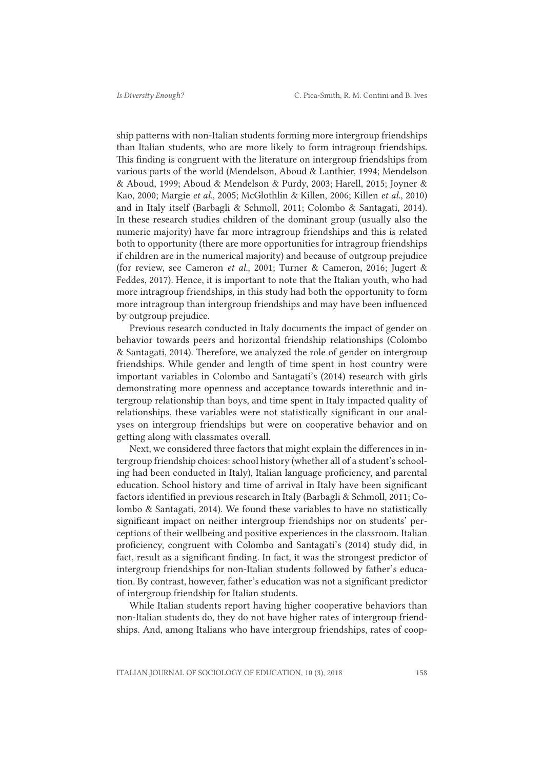ship patterns with non-Italian students forming more intergroup friendships than Italian students, who are more likely to form intragroup friendships. This finding is congruent with the literature on intergroup friendships from various parts of the world (Mendelson, Aboud & Lanthier, 1994; Mendelson & Aboud, 1999; Aboud & Mendelson & Purdy, 2003; Harell, 2015; Joyner & Kao, 2000; Margie *et al*., 2005; McGlothlin & Killen, 2006; Killen *et al.*, 2010) and in Italy itself (Barbagli & Schmoll, 2011; Colombo & Santagati, 2014). In these research studies children of the dominant group (usually also the numeric majority) have far more intragroup friendships and this is related both to opportunity (there are more opportunities for intragroup friendships if children are in the numerical majority) and because of outgroup prejudice (for review, see Cameron *et al.*, 2001; Turner & Cameron, 2016; Jugert & Feddes, 2017). Hence, it is important to note that the Italian youth, who had more intragroup friendships, in this study had both the opportunity to form more intragroup than intergroup friendships and may have been influenced by outgroup prejudice.

Previous research conducted in Italy documents the impact of gender on behavior towards peers and horizontal friendship relationships (Colombo & Santagati, 2014). Therefore, we analyzed the role of gender on intergroup friendships. While gender and length of time spent in host country were important variables in Colombo and Santagati's (2014) research with girls demonstrating more openness and acceptance towards interethnic and intergroup relationship than boys, and time spent in Italy impacted quality of relationships, these variables were not statistically significant in our analyses on intergroup friendships but were on cooperative behavior and on getting along with classmates overall.

Next, we considered three factors that might explain the differences in intergroup friendship choices: school history (whether all of a student's schooling had been conducted in Italy), Italian language proficiency, and parental education. School history and time of arrival in Italy have been significant factors identified in previous research in Italy (Barbagli & Schmoll, 2011; Colombo & Santagati, 2014). We found these variables to have no statistically significant impact on neither intergroup friendships nor on students' perceptions of their wellbeing and positive experiences in the classroom. Italian proficiency, congruent with Colombo and Santagati's (2014) study did, in fact, result as a significant finding. In fact, it was the strongest predictor of intergroup friendships for non-Italian students followed by father's education. By contrast, however, father's education was not a significant predictor of intergroup friendship for Italian students.

While Italian students report having higher cooperative behaviors than non-Italian students do, they do not have higher rates of intergroup friendships. And, among Italians who have intergroup friendships, rates of coop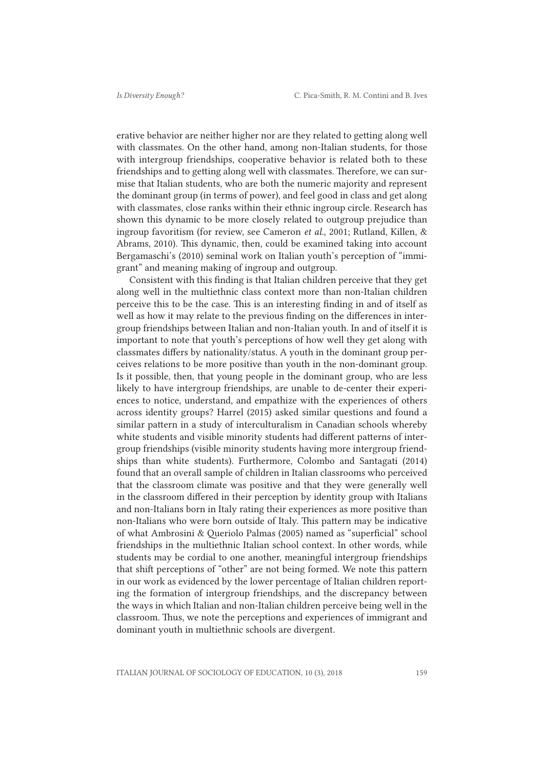erative behavior are neither higher nor are they related to getting along well with classmates. On the other hand, among non-Italian students, for those with intergroup friendships, cooperative behavior is related both to these friendships and to getting along well with classmates. Therefore, we can surmise that Italian students, who are both the numeric majority and represent the dominant group (in terms of power), and feel good in class and get along with classmates, close ranks within their ethnic ingroup circle. Research has shown this dynamic to be more closely related to outgroup prejudice than ingroup favoritism (for review, see Cameron *et al.*, 2001; Rutland, Killen, & Abrams, 2010). This dynamic, then, could be examined taking into account Bergamaschi's (2010) seminal work on Italian youth's perception of "immigrant" and meaning making of ingroup and outgroup.

Consistent with this finding is that Italian children perceive that they get along well in the multiethnic class context more than non-Italian children perceive this to be the case. This is an interesting finding in and of itself as well as how it may relate to the previous finding on the differences in intergroup friendships between Italian and non-Italian youth. In and of itself it is important to note that youth's perceptions of how well they get along with classmates differs by nationality/status. A youth in the dominant group perceives relations to be more positive than youth in the non-dominant group. Is it possible, then, that young people in the dominant group, who are less likely to have intergroup friendships, are unable to de-center their experiences to notice, understand, and empathize with the experiences of others across identity groups? Harrel (2015) asked similar questions and found a similar pattern in a study of interculturalism in Canadian schools whereby white students and visible minority students had different patterns of intergroup friendships (visible minority students having more intergroup friendships than white students). Furthermore, Colombo and Santagati (2014) found that an overall sample of children in Italian classrooms who perceived that the classroom climate was positive and that they were generally well in the classroom differed in their perception by identity group with Italians and non-Italians born in Italy rating their experiences as more positive than non-Italians who were born outside of Italy. This pattern may be indicative of what Ambrosini & Queriolo Palmas (2005) named as "superficial" school friendships in the multiethnic Italian school context. In other words, while students may be cordial to one another, meaningful intergroup friendships that shift perceptions of "other" are not being formed. We note this pattern in our work as evidenced by the lower percentage of Italian children reporting the formation of intergroup friendships, and the discrepancy between the ways in which Italian and non-Italian children perceive being well in the classroom. Thus, we note the perceptions and experiences of immigrant and dominant youth in multiethnic schools are divergent.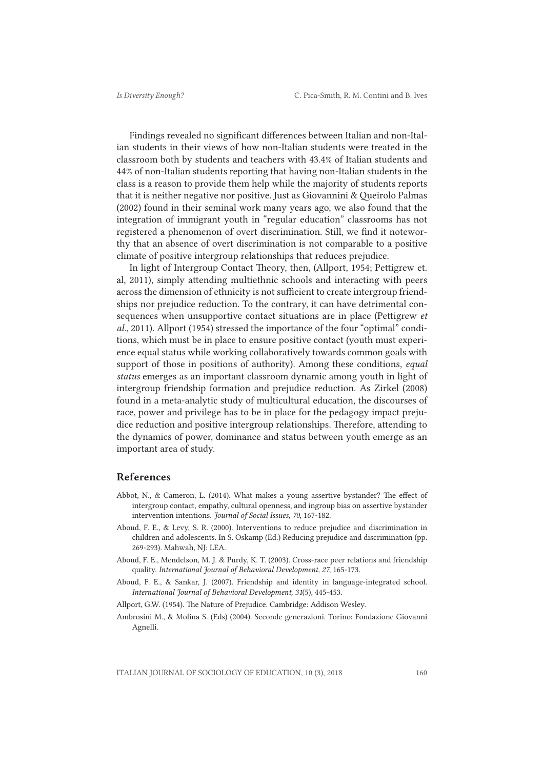Findings revealed no significant differences between Italian and non-Italian students in their views of how non-Italian students were treated in the classroom both by students and teachers with 43.4% of Italian students and 44% of non-Italian students reporting that having non-Italian students in the class is a reason to provide them help while the majority of students reports that it is neither negative nor positive. Just as Giovannini & Queirolo Palmas (2002) found in their seminal work many years ago, we also found that the integration of immigrant youth in "regular education" classrooms has not registered a phenomenon of overt discrimination. Still, we find it noteworthy that an absence of overt discrimination is not comparable to a positive climate of positive intergroup relationships that reduces prejudice.

In light of Intergroup Contact Theory, then, (Allport, 1954; Pettigrew et. al, 2011), simply attending multiethnic schools and interacting with peers across the dimension of ethnicity is not sufficient to create intergroup friendships nor prejudice reduction. To the contrary, it can have detrimental consequences when unsupportive contact situations are in place (Pettigrew *et al.*, 2011). Allport (1954) stressed the importance of the four "optimal" conditions, which must be in place to ensure positive contact (youth must experience equal status while working collaboratively towards common goals with support of those in positions of authority). Among these conditions, *equal status* emerges as an important classroom dynamic among youth in light of intergroup friendship formation and prejudice reduction. As Zirkel (2008) found in a meta-analytic study of multicultural education, the discourses of race, power and privilege has to be in place for the pedagogy impact prejudice reduction and positive intergroup relationships. Therefore, attending to the dynamics of power, dominance and status between youth emerge as an important area of study.

## References

- Abbot, N., & Cameron, L. (2014). What makes a young assertive bystander? The effect of intergroup contact, empathy, cultural openness, and ingroup bias on assertive bystander intervention intentions. *Journal of Social Issues, 70*, 167-182.
- Aboud, F. E., & Levy, S. R. (2000). Interventions to reduce prejudice and discrimination in children and adolescents. In S. Oskamp (Ed.) Reducing prejudice and discrimination (pp. 269-293). Mahwah, NJ: LEA.
- Aboud, F. E., Mendelson, M. J. & Purdy, K. T. (2003). Cross-race peer relations and friendship quality. *International Journal of Behavioral Development, 27*, 165-173.
- Aboud, F. E., & Sankar, J. (2007). Friendship and identity in language-integrated school. *International Journal of Behavioral Development, 31*(5), 445-453.

Allport, G.W. (1954). The Nature of Prejudice. Cambridge: Addison Wesley.

Ambrosini M., & Molina S. (Eds) (2004). Seconde generazioni. Torino: Fondazione Giovanni Agnelli.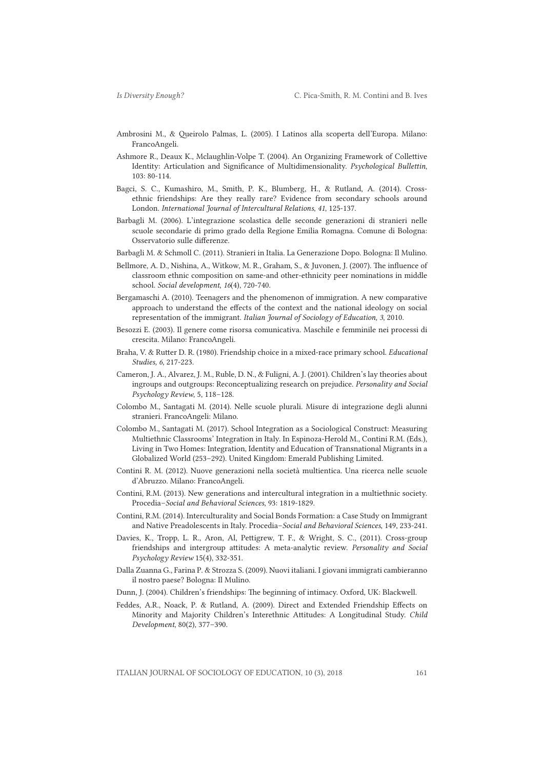- Ambrosini M., & Queirolo Palmas, L. (2005). I Latinos alla scoperta dell'Europa. Milano: FrancoAngeli.
- Ashmore R., Deaux K., Mclaughlin-Volpe T. (2004). An Organizing Framework of Collettive Identity: Articulation and Significance of Multidimensionality. *Psychological Bullettin*, 103: 80-114.
- Bagci, S. C., Kumashiro, M., Smith, P. K., Blumberg, H., & Rutland, A. (2014). Crossethnic friendships: Are they really rare? Evidence from secondary schools around London. *International Journal of Intercultural Relations*, *41*, 125-137.
- Barbagli M. (2006). L'integrazione scolastica delle seconde generazioni di stranieri nelle scuole secondarie di primo grado della Regione Emilia Romagna. Comune di Bologna: Osservatorio sulle differenze.
- Barbagli M. & Schmoll C. (2011). Stranieri in Italia. La Generazione Dopo. Bologna: Il Mulino.
- Bellmore, A. D., Nishina, A., Witkow, M. R., Graham, S., & Juvonen, J. (2007). The influence of classroom ethnic composition on same‐and other‐ethnicity peer nominations in middle school. *Social development*, *16*(4), 720-740.
- Bergamaschi A. (2010). Teenagers and the phenomenon of immigration. A new comparative approach to understand the effects of the context and the national ideology on social representation of the immigrant. *Italian Journal of Sociology of Education, 3*, 2010.
- Besozzi E. (2003). Il genere come risorsa comunicativa. Maschile e femminile nei processi di crescita. Milano: FrancoAngeli.
- Braha, V. & Rutter D. R. (1980). Friendship choice in a mixed-race primary school. *Educational Studies, 6*, 217-223.
- Cameron, J. A., Alvarez, J. M., Ruble, D. N., & Fuligni, A. J. (2001). Children's lay theories about ingroups and outgroups: Reconceptualizing research on prejudice. *Personality and Social Psychology Review*, 5, 118–128.
- Colombo M., Santagati M. (2014). Nelle scuole plurali. Misure di integrazione degli alunni stranieri. FrancoAngeli: Milano.
- Colombo M., Santagati M. (2017). School Integration as a Sociological Construct: Measuring Multiethnic Classrooms' Integration in Italy. In Espinoza-Herold M., Contini R.M. (Eds.), Living in Two Homes: Integration, Identity and Education of Transnational Migrants in a Globalized World (253–292). United Kingdom: Emerald Publishing Limited.
- Contini R. M. (2012). Nuove generazioni nella società multientica. Una ricerca nelle scuole d'Abruzzo. Milano: FrancoAngeli.
- Contini, R.M. (2013). New generations and intercultural integration in a multiethnic society. Procedia–*Social and Behavioral Sciences*, 93: 1819-1829.
- Contini, R.M. (2014). Interculturality and Social Bonds Formation: a Case Study on Immigrant and Native Preadolescents in Italy. Procedia–*Social and Behavioral Sciences*, 149, 233-241.
- Davies, K., Tropp, L. R., Aron, Al, Pettigrew, T. F., & Wright, S. C., (2011). Cross-group friendships and intergroup attitudes: A meta-analytic review. *Personality and Social Psychology Review* 15(4), 332-351.
- Dalla Zuanna G., Farina P. & Strozza S. (2009). Nuovi italiani. I giovani immigrati cambieranno il nostro paese? Bologna: Il Mulino.
- Dunn, J. (2004). Children's friendships: The beginning of intimacy. Oxford, UK: Blackwell.
- Feddes, A.R., Noack, P. & Rutland, A. (2009). Direct and Extended Friendship Effects on Minority and Majority Children's Interethnic Attitudes: A Longitudinal Study. *Child Development*, 80(2), 377–390.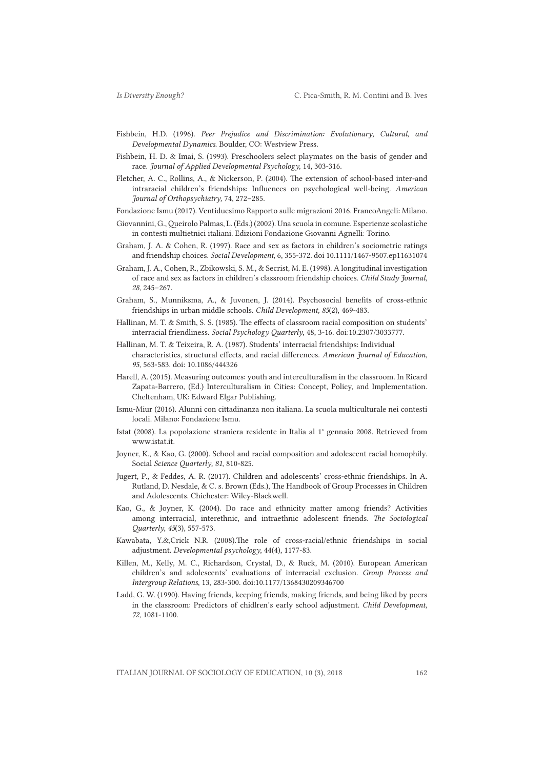- Fishbein, H.D. (1996). *Peer Prejudice and Discrimination: Evolutionary, Cultural, and Developmental Dynamics*. Boulder, CO: Westview Press.
- Fishbein, H. D. & Imai, S. (1993). Preschoolers select playmates on the basis of gender and race. *Journal of Applied Developmental Psychology*, 14, 303-316.
- Fletcher, A. C., Rollins, A., & Nickerson, P. (2004). The extension of school-based inter-and intraracial children's friendships: Influences on psychological well-being. *American Journal of Orthopsychiatry,* 74, 272–285.
- Fondazione Ismu (2017). Ventiduesimo Rapporto sulle migrazioni 2016. FrancoAngeli: Milano.
- Giovannini, G., Queirolo Palmas, L. (Eds.) (2002). Una scuola in comune. Esperienze scolastiche in contesti multietnici italiani. Edizioni Fondazione Giovanni Agnelli: Torino.
- Graham, J. A. & Cohen, R. (1997). Race and sex as factors in children's sociometric ratings and friendship choices. *Social Development*, 6, 355-372. doi 10.1111/1467-9507.ep11631074
- Graham, J. A., Cohen, R., Zbikowski, S. M., & Secrist, M. E. (1998). A longitudinal investigation of race and sex as factors in children's classroom friendship choices. *Child Study Journal, 28*, 245–267.
- Graham, S., Munniksma, A., & Juvonen, J. (2014). Psychosocial benefits of cross-ethnic friendships in urban middle schools. *Child Development, 85*(2), 469-483.
- Hallinan, M. T. & Smith, S. S. (1985). The effects of classroom racial composition on students' interracial friendliness. *Social Psychology Quarterly*, 48, 3-16. doi:10.2307/3033777.
- Hallinan, M. T. & Teixeira, R. A. (1987). Students' interracial friendships: Individual characteristics, structural effects, and racial differences. *American Journal of Education, 95*, 563-583. doi: 10.1086/444326
- Harell, A. (2015). Measuring outcomes: youth and interculturalism in the classroom. In Ricard Zapata-Barrero, (Ed.) Interculturalism in Cities: Concept, Policy, and Implementation. Cheltenham, UK: Edward Elgar Publishing.
- Ismu-Miur (2016). Alunni con cittadinanza non italiana. La scuola multiculturale nei contesti locali. Milano: Fondazione Ismu.
- Istat (2008). La popolazione straniera residente in Italia al 1° gennaio 2008. Retrieved from www.istat.it.
- Joyner, K., & Kao, G. (2000). School and racial composition and adolescent racial homophily. Social *Science Quarterly, 81*, 810-825.
- Jugert, P., & Feddes, A. R. (2017). Children and adolescents' cross-ethnic friendships. In A. Rutland, D. Nesdale, & C. s. Brown (Eds.), The Handbook of Group Processes in Children and Adolescents. Chichester: Wiley-Blackwell.
- Kao, G., & Joyner, K. (2004). Do race and ethnicity matter among friends? Activities among interracial, interethnic, and intraethnic adolescent friends. *The Sociological Quarterly*, *45*(3), 557-573.
- Kawabata, Y.&,Crick N.R. (2008).The role of cross-racial/ethnic friendships in social adjustment. *Developmental psychology*, 44(4), 1177-83.
- Killen, M., Kelly, M. C., Richardson, Crystal, D., & Ruck, M. (2010). European American children's and adolescents' evaluations of interracial exclusion. *Group Process and Intergroup Relations*, 13, 283-300. doi:10.1177/1368430209346700
- Ladd, G. W. (1990). Having friends, keeping friends, making friends, and being liked by peers in the classroom: Predictors of chidlren's early school adjustment. *Child Development, 72*, 1081-1100.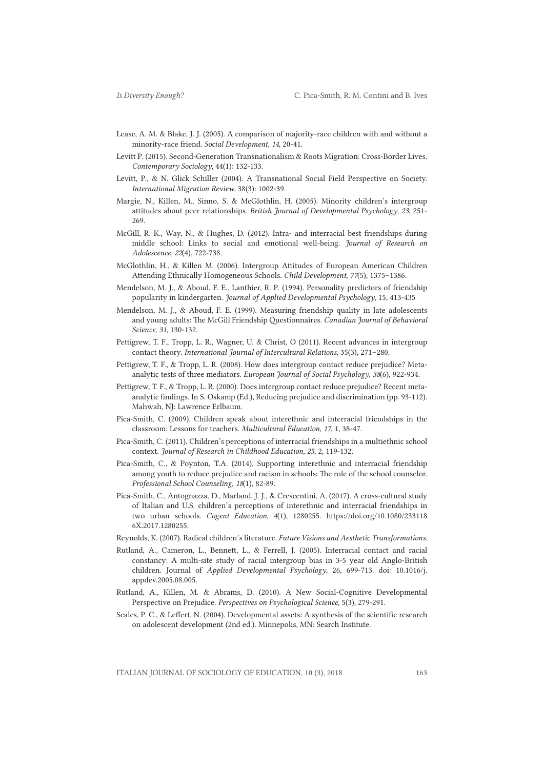- Lease, A. M. & Blake, J. J. (2005). A comparison of majority-race children with and without a minority-race friend. *Social Development, 14*, 20-41.
- Levitt P. (2015). Second-Generation Transnationalism & Roots Migration: Cross-Border Lives. *Contemporary Sociology*, 44(1): 132-133.
- Levitt, P., & N. Glick Schiller (2004). A Transnational Social Field Perspective on Society. *International Migration Review*, 38(3): 1002-39.
- Margie, N., Killen, M., Sinno, S. & McGlothlin, H. (2005). Minority children's intergroup attitudes about peer relationships. *British Journal of Developmental Psychology, 23*, 251- 269.
- McGill, R. K., Way, N., & Hughes, D. (2012). Intra- and interracial best friendships during middle school: Links to social and emotional well-being. *Journal of Research on Adolescence, 22*(4), 722-738.
- McGlothlin, H., & Killen M. (2006). Intergroup Attitudes of European American Children Attending Ethnically Homogeneous Schools. *Child Development, 77*(5), 1375–1386.
- Mendelson, M. J., & Aboud, F. E., Lanthier, R. P. (1994). Personality predictors of friendship popularity in kindergarten. *Journal of Applied Developmental Psychology*, 15, 413-435
- Mendelson, M. J., & Aboud, F. E. (1999). Measuring friendship quality in late adolescents and young adults: The McGill Friendship Questionnaires. *Canadian Journal of Behavioral Science, 31*, 130-132.
- Pettigrew, T. F., Tropp, L. R., Wagner, U. & Christ, O (2011). Recent advances in intergroup contact theory. *International Journal of Intercultural Relations*, 35(3), 271–280.
- Pettigrew, T. F., & Tropp, L. R. (2008). How does intergroup contact reduce prejudice? Metaanalytic tests of three mediators. *European Journal of Social Psychology, 38*(6), 922-934.
- Pettigrew, T. F., & Tropp, L. R. (2000). Does intergroup contact reduce prejudice? Recent metaanalytic findings. In S. Oskamp (Ed.), Reducing prejudice and discrimination (pp. 93-112). Mahwah, NJ: Lawrence Erlbaum.
- Pica-Smith, C. (2009). Children speak about interethnic and interracial friendships in the classroom: Lessons for teachers. *Multicultural Education, 17*, 1, 38-47.
- Pica-Smith, C. (2011). Children's perceptions of interracial friendships in a multiethnic school context. *Journal of Research in Childhood Education, 25*, 2, 119-132.
- Pica-Smith, C., & Poynton, T.A. (2014). Supporting interethnic and interracial friendship among youth to reduce prejudice and racism in schools: The role of the school counselor. *Professional School Counseling, 18*(1), 82-89.
- Pica-Smith, C., Antognazza, D., Marland, J. J., & Crescentini, A. (2017). A cross-cultural study of Italian and U.S. children's perceptions of interethnic and interracial friendships in two urban schools. *Cogent Education, 4*(1), 1280255. https://doi.org/10.1080/233118 6X.2017.1280255.
- Reynolds, K. (2007). Radical children's literature. *Future Visions and Aesthetic Transformations*.
- Rutland, A., Cameron, L., Bennett, L., & Ferrell, J. (2005). Interracial contact and racial constancy: A multi-site study of racial intergroup bias in 3-5 year old Anglo-British children. Journal of *Applied Developmental Psychology*, 26, 699-713. doi: 10.1016/j. appdev.2005.08.005.
- Rutland, A., Killen, M. & Abrams, D. (2010). A New Social-Cognitive Developmental Perspective on Prejudice. *Perspectives on Psychological Science*, 5(3), 279-291.
- Scales, P. C., & Leffert, N. (2004). Developmental assets: A synthesis of the scientific research on adolescent development (2nd ed.). Minnepolis, MN: Search Institute.